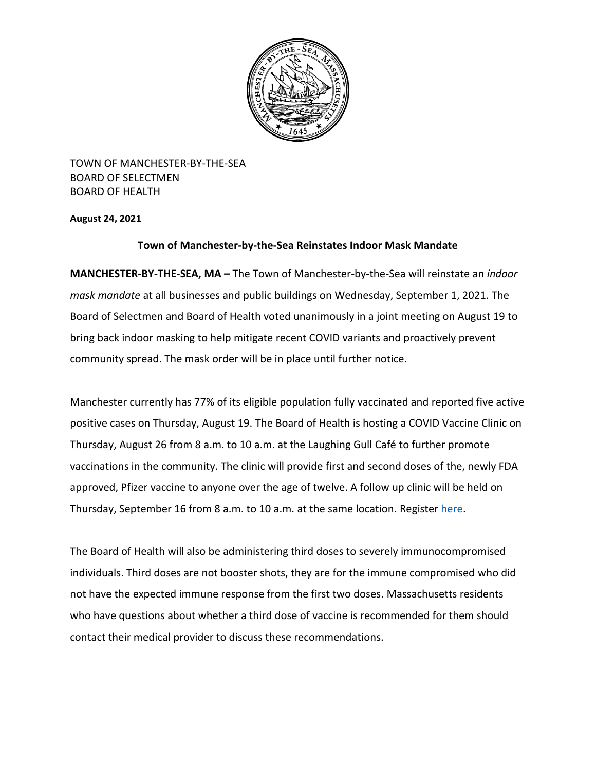

TOWN OF MANCHESTER-BY-THE-SEA BOARD OF SELECTMEN BOARD OF HEALTH

**August 24, 2021**

## **Town of Manchester-by-the-Sea Reinstates Indoor Mask Mandate**

**MANCHESTER-BY-THE-SEA, MA –** The Town of Manchester-by-the-Sea will reinstate an *indoor mask mandate* at all businesses and public buildings on Wednesday, September 1, 2021. The Board of Selectmen and Board of Health voted unanimously in a joint meeting on August 19 to bring back indoor masking to help mitigate recent COVID variants and proactively prevent community spread. The mask order will be in place until further notice.

Manchester currently has 77% of its eligible population fully vaccinated and reported five active positive cases on Thursday, August 19. The Board of Health is hosting a COVID Vaccine Clinic on Thursday, August 26 from 8 a.m. to 10 a.m. at the Laughing Gull Café to further promote vaccinations in the community. The clinic will provide first and second doses of the, newly FDA approved, Pfizer vaccine to anyone over the age of twelve. A follow up clinic will be held on Thursday, September 16 from 8 a.m. to 10 a.m. at the same location. Register [here.](https://home.color.com/vaccine/register/capeann)

The Board of Health will also be administering third doses to severely immunocompromised individuals. Third doses are not booster shots, they are for the immune compromised who did not have the expected immune response from the first two doses. Massachusetts residents who have questions about whether a third dose of vaccine is recommended for them should contact their medical provider to discuss these recommendations.